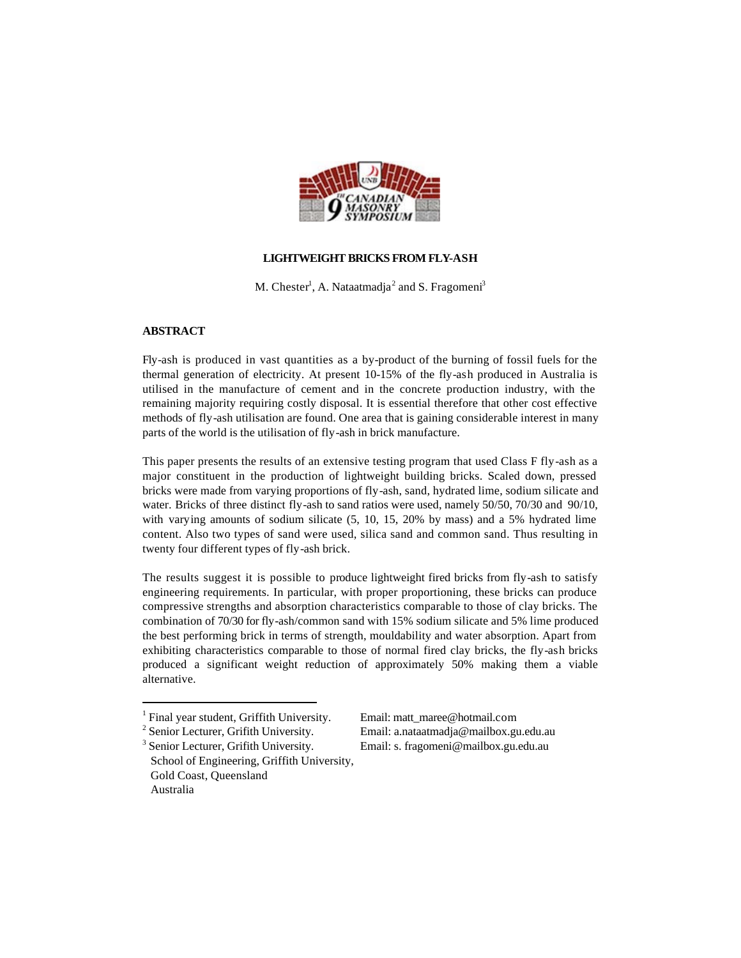

# **LIGHTWEIGHT BRICKS FROM FLY-ASH**

M. Chester<sup>1</sup>, A. Nataatmadja<sup>2</sup> and S. Fragomeni<sup>3</sup>

## **ABSTRACT**

Fly-ash is produced in vast quantities as a by-product of the burning of fossil fuels for the thermal generation of electricity. At present 10-15% of the fly-ash produced in Australia is utilised in the manufacture of cement and in the concrete production industry, with the remaining majority requiring costly disposal. It is essential therefore that other cost effective methods of fly-ash utilisation are found. One area that is gaining considerable interest in many parts of the world is the utilisation of fly-ash in brick manufacture.

This paper presents the results of an extensive testing program that used Class F fly-ash as a major constituent in the production of lightweight building bricks. Scaled down, pressed bricks were made from varying proportions of fly-ash, sand, hydrated lime, sodium silicate and water. Bricks of three distinct fly-ash to sand ratios were used, namely 50/50, 70/30 and 90/10, with varying amounts of sodium silicate (5, 10, 15, 20% by mass) and a 5% hydrated lime content. Also two types of sand were used, silica sand and common sand. Thus resulting in twenty four different types of fly-ash brick.

The results suggest it is possible to produce lightweight fired bricks from fly-ash to satisfy engineering requirements. In particular, with proper proportioning, these bricks can produce compressive strengths and absorption characteristics comparable to those of clay bricks. The combination of 70/30 for fly-ash/common sand with 15% sodium silicate and 5% lime produced the best performing brick in terms of strength, mouldability and water absorption. Apart from exhibiting characteristics comparable to those of normal fired clay bricks, the fly-ash bricks produced a significant weight reduction of approximately 50% making them a viable alternative.

 $\overline{a}$ 

<sup>3</sup> Senior Lecturer, Grifith University. School of Engineering, Griffith University, Gold Coast, Queensland Australia

Email: a.nataatmadja@mailbox.gu.edu.au Email: s. fragomeni@mailbox.gu.edu.au

<sup>&</sup>lt;sup>1</sup> Final year student, Griffith University. Email: matt\_maree@hotmail.com

<sup>&</sup>lt;sup>2</sup> Senior Lecturer, Grifith University.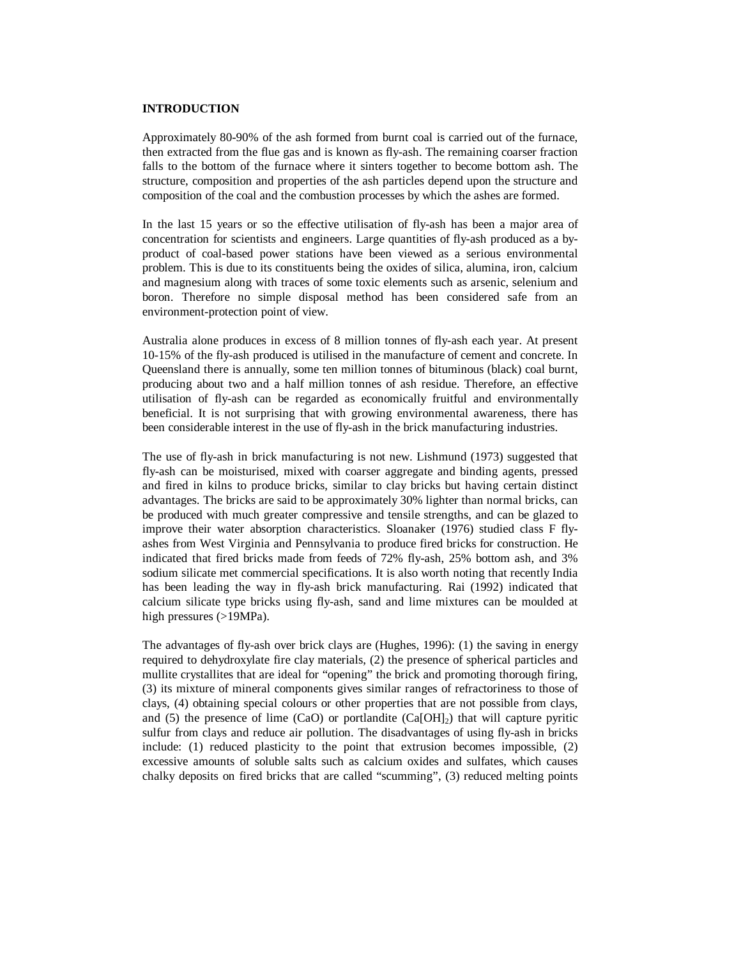#### **INTRODUCTION**

Approximately 80-90% of the ash formed from burnt coal is carried out of the furnace, then extracted from the flue gas and is known as fly-ash. The remaining coarser fraction falls to the bottom of the furnace where it sinters together to become bottom ash. The structure, composition and properties of the ash particles depend upon the structure and composition of the coal and the combustion processes by which the ashes are formed.

In the last 15 years or so the effective utilisation of fly-ash has been a major area of concentration for scientists and engineers. Large quantities of fly-ash produced as a byproduct of coal-based power stations have been viewed as a serious environmental problem. This is due to its constituents being the oxides of silica, alumina, iron, calcium and magnesium along with traces of some toxic elements such as arsenic, selenium and boron. Therefore no simple disposal method has been considered safe from an environment-protection point of view.

Australia alone produces in excess of 8 million tonnes of fly-ash each year. At present 10-15% of the fly-ash produced is utilised in the manufacture of cement and concrete. In Queensland there is annually, some ten million tonnes of bituminous (black) coal burnt, producing about two and a half million tonnes of ash residue. Therefore, an effective utilisation of fly-ash can be regarded as economically fruitful and environmentally beneficial. It is not surprising that with growing environmental awareness, there has been considerable interest in the use of fly-ash in the brick manufacturing industries.

The use of fly-ash in brick manufacturing is not new. Lishmund (1973) suggested that fly-ash can be moisturised, mixed with coarser aggregate and binding agents, pressed and fired in kilns to produce bricks, similar to clay bricks but having certain distinct advantages. The bricks are said to be approximately 30% lighter than normal bricks, can be produced with much greater compressive and tensile strengths, and can be glazed to improve their water absorption characteristics. Sloanaker (1976) studied class F flyashes from West Virginia and Pennsylvania to produce fired bricks for construction. He indicated that fired bricks made from feeds of 72% fly-ash, 25% bottom ash, and 3% sodium silicate met commercial specifications. It is also worth noting that recently India has been leading the way in fly-ash brick manufacturing. Rai (1992) indicated that calcium silicate type bricks using fly-ash, sand and lime mixtures can be moulded at high pressures (>19MPa).

The advantages of fly-ash over brick clays are (Hughes, 1996): (1) the saving in energy required to dehydroxylate fire clay materials, (2) the presence of spherical particles and mullite crystallites that are ideal for "opening" the brick and promoting thorough firing, (3) its mixture of mineral components gives similar ranges of refractoriness to those of clays, (4) obtaining special colours or other properties that are not possible from clays, and (5) the presence of lime (CaO) or portlandite  $(Ca[OH]_2)$  that will capture pyritic sulfur from clays and reduce air pollution. The disadvantages of using fly-ash in bricks include: (1) reduced plasticity to the point that extrusion becomes impossible, (2) excessive amounts of soluble salts such as calcium oxides and sulfates, which causes chalky deposits on fired bricks that are called "scumming", (3) reduced melting points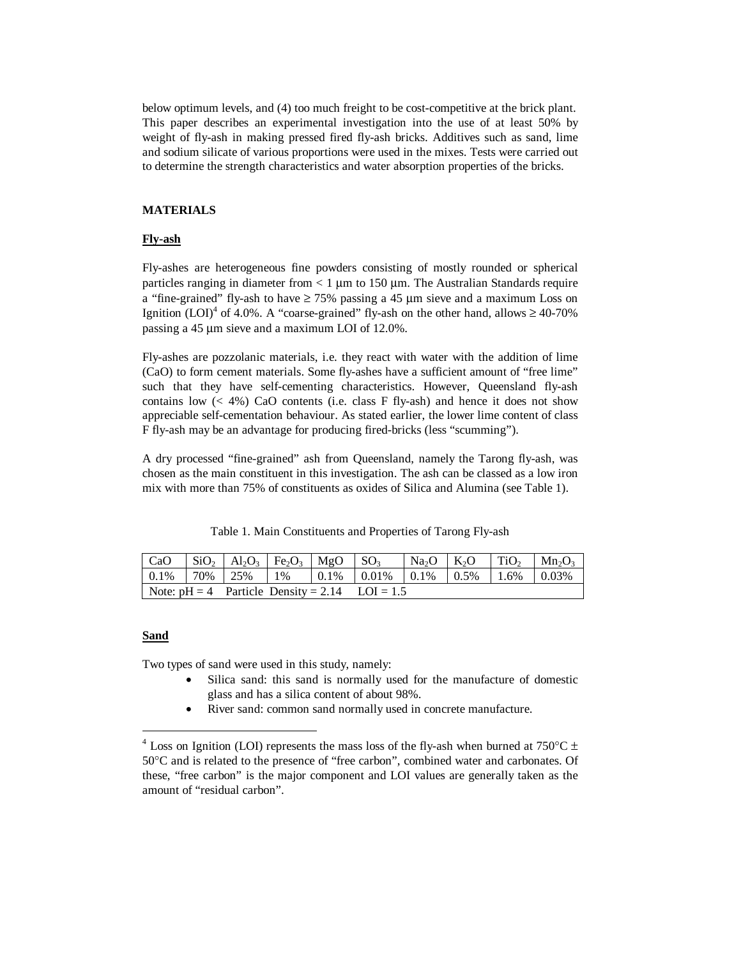below optimum levels, and (4) too much freight to be cost-competitive at the brick plant. This paper describes an experimental investigation into the use of at least 50% by weight of fly-ash in making pressed fired fly-ash bricks. Additives such as sand, lime and sodium silicate of various proportions were used in the mixes. Tests were carried out to determine the strength characteristics and water absorption properties of the bricks.

### **MATERIALS**

## **Fly-ash**

Fly-ashes are heterogeneous fine powders consisting of mostly rounded or spherical particles ranging in diameter from  $< 1 \mu m$  to 150  $\mu m$ . The Australian Standards require a "fine-grained" fly-ash to have  $\geq 75\%$  passing a 45  $\mu$ m sieve and a maximum Loss on Ignition  $(LOI)^4$  of 4.0%. A "coarse-grained" fly-ash on the other hand, allows  $\geq 40-70\%$ passing a 45 µm sieve and a maximum LOI of 12.0%.

Fly-ashes are pozzolanic materials, i.e. they react with water with the addition of lime (CaO) to form cement materials. Some fly-ashes have a sufficient amount of "free lime" such that they have self-cementing characteristics. However, Queensland fly-ash contains low  $(< 4\%)$  CaO contents (i.e. class F fly-ash) and hence it does not show appreciable self-cementation behaviour. As stated earlier, the lower lime content of class F fly-ash may be an advantage for producing fired-bricks (less "scumming").

A dry processed "fine-grained" ash from Queensland, namely the Tarong fly-ash, was chosen as the main constituent in this investigation. The ash can be classed as a low iron mix with more than 75% of constituents as oxides of Silica and Alumina (see Table 1).

Table 1. Main Constituents and Properties of Tarong Fly-ash

|                                                  |  |  |  | $\vert 0.1\% \vert 70\% \vert 25\% \vert 1\% \vert 0.1\% \vert 0.01\% \vert 0.1\% \vert 0.5\% \vert 1.6\% \vert 0.03\%$ |  |  |  |  |
|--------------------------------------------------|--|--|--|-------------------------------------------------------------------------------------------------------------------------|--|--|--|--|
| Note: $pH = 4$ Particle Density = 2.14 LOI = 1.5 |  |  |  |                                                                                                                         |  |  |  |  |

#### **Sand**

-

Two types of sand were used in this study, namely:

- Silica sand: this sand is normally used for the manufacture of domestic glass and has a silica content of about 98%.
- River sand: common sand normally used in concrete manufacture.

<sup>&</sup>lt;sup>4</sup> Loss on Ignition (LOI) represents the mass loss of the fly-ash when burned at 750 °C  $\pm$ 50°C and is related to the presence of "free carbon", combined water and carbonates. Of these, "free carbon" is the major component and LOI values are generally taken as the amount of "residual carbon".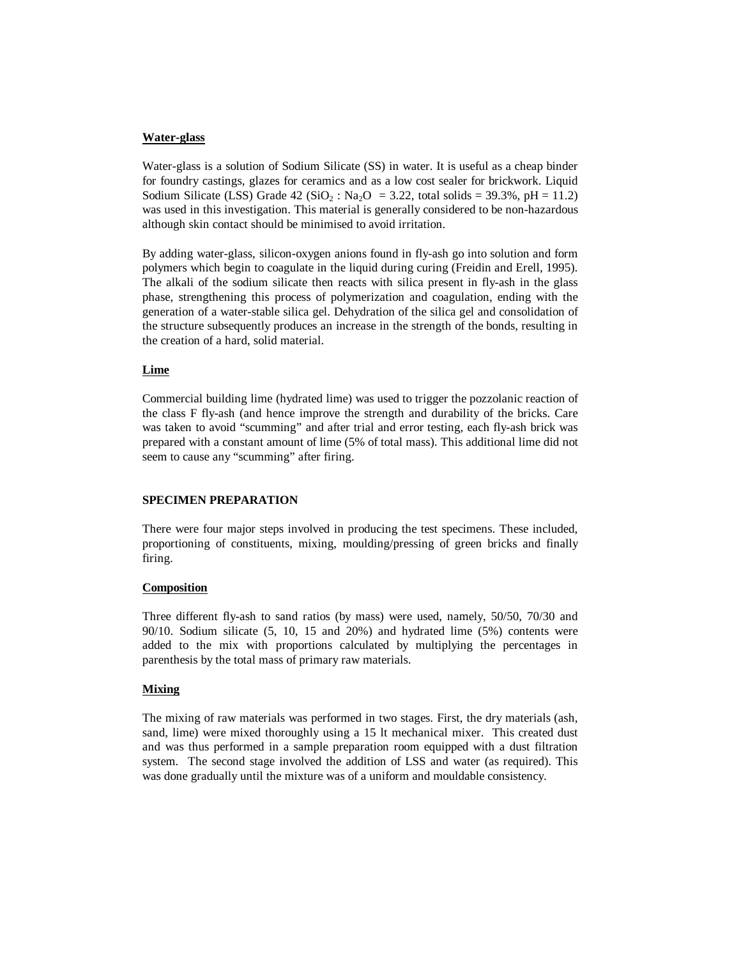## **Water-glass**

Water-glass is a solution of Sodium Silicate (SS) in water. It is useful as a cheap binder for foundry castings, glazes for ceramics and as a low cost sealer for brickwork. Liquid Sodium Silicate (LSS) Grade 42 (SiO<sub>2</sub>: Na<sub>2</sub>O = 3.22, total solids = 39.3%, pH = 11.2) was used in this investigation. This material is generally considered to be non-hazardous although skin contact should be minimised to avoid irritation.

By adding water-glass, silicon-oxygen anions found in fly-ash go into solution and form polymers which begin to coagulate in the liquid during curing (Freidin and Erell, 1995). The alkali of the sodium silicate then reacts with silica present in fly-ash in the glass phase, strengthening this process of polymerization and coagulation, ending with the generation of a water-stable silica gel. Dehydration of the silica gel and consolidation of the structure subsequently produces an increase in the strength of the bonds, resulting in the creation of a hard, solid material.

# **Lime**

Commercial building lime (hydrated lime) was used to trigger the pozzolanic reaction of the class F fly-ash (and hence improve the strength and durability of the bricks. Care was taken to avoid "scumming" and after trial and error testing, each fly-ash brick was prepared with a constant amount of lime (5% of total mass). This additional lime did not seem to cause any "scumming" after firing.

## **SPECIMEN PREPARATION**

There were four major steps involved in producing the test specimens. These included, proportioning of constituents, mixing, moulding/pressing of green bricks and finally firing.

## **Composition**

Three different fly-ash to sand ratios (by mass) were used, namely, 50/50, 70/30 and 90/10. Sodium silicate (5, 10, 15 and 20%) and hydrated lime (5%) contents were added to the mix with proportions calculated by multiplying the percentages in parenthesis by the total mass of primary raw materials.

# **Mixing**

The mixing of raw materials was performed in two stages. First, the dry materials (ash, sand, lime) were mixed thoroughly using a 15 lt mechanical mixer. This created dust and was thus performed in a sample preparation room equipped with a dust filtration system. The second stage involved the addition of LSS and water (as required). This was done gradually until the mixture was of a uniform and mouldable consistency.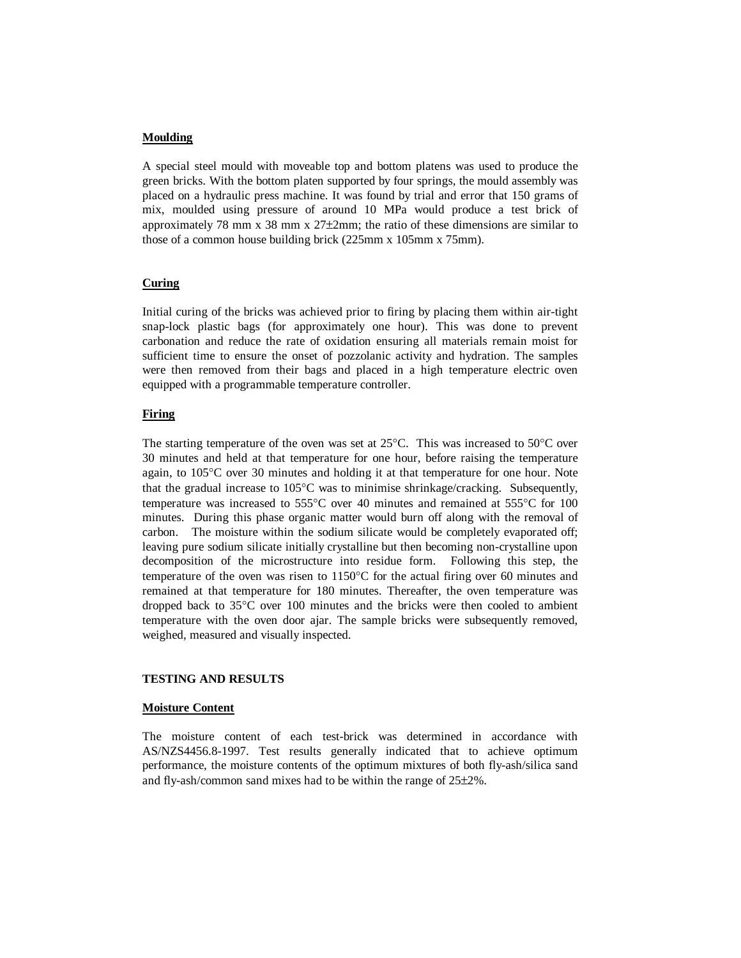#### **Moulding**

A special steel mould with moveable top and bottom platens was used to produce the green bricks. With the bottom platen supported by four springs, the mould assembly was placed on a hydraulic press machine. It was found by trial and error that 150 grams of mix, moulded using pressure of around 10 MPa would produce a test brick of approximately 78 mm  $x$  38 mm  $x$  27 $\pm$ 2mm; the ratio of these dimensions are similar to those of a common house building brick (225mm x 105mm x 75mm).

## **Curing**

Initial curing of the bricks was achieved prior to firing by placing them within air-tight snap-lock plastic bags (for approximately one hour). This was done to prevent carbonation and reduce the rate of oxidation ensuring all materials remain moist for sufficient time to ensure the onset of pozzolanic activity and hydration. The samples were then removed from their bags and placed in a high temperature electric oven equipped with a programmable temperature controller.

## **Firing**

The starting temperature of the oven was set at  $25^{\circ}$ C. This was increased to  $50^{\circ}$ C over 30 minutes and held at that temperature for one hour, before raising the temperature again, to 105°C over 30 minutes and holding it at that temperature for one hour. Note that the gradual increase to 105°C was to minimise shrinkage/cracking. Subsequently, temperature was increased to 555°C over 40 minutes and remained at 555°C for 100 minutes. During this phase organic matter would burn off along with the removal of carbon. The moisture within the sodium silicate would be completely evaporated off; leaving pure sodium silicate initially crystalline but then becoming non-crystalline upon decomposition of the microstructure into residue form. Following this step, the temperature of the oven was risen to 1150°C for the actual firing over 60 minutes and remained at that temperature for 180 minutes. Thereafter, the oven temperature was dropped back to 35°C over 100 minutes and the bricks were then cooled to ambient temperature with the oven door ajar. The sample bricks were subsequently removed, weighed, measured and visually inspected.

# **TESTING AND RESULTS**

#### **Moisture Content**

The moisture content of each test-brick was determined in accordance with AS/NZS4456.8-1997. Test results generally indicated that to achieve optimum performance, the moisture contents of the optimum mixtures of both fly-ash/silica sand and fly-ash/common sand mixes had to be within the range of 25±2%.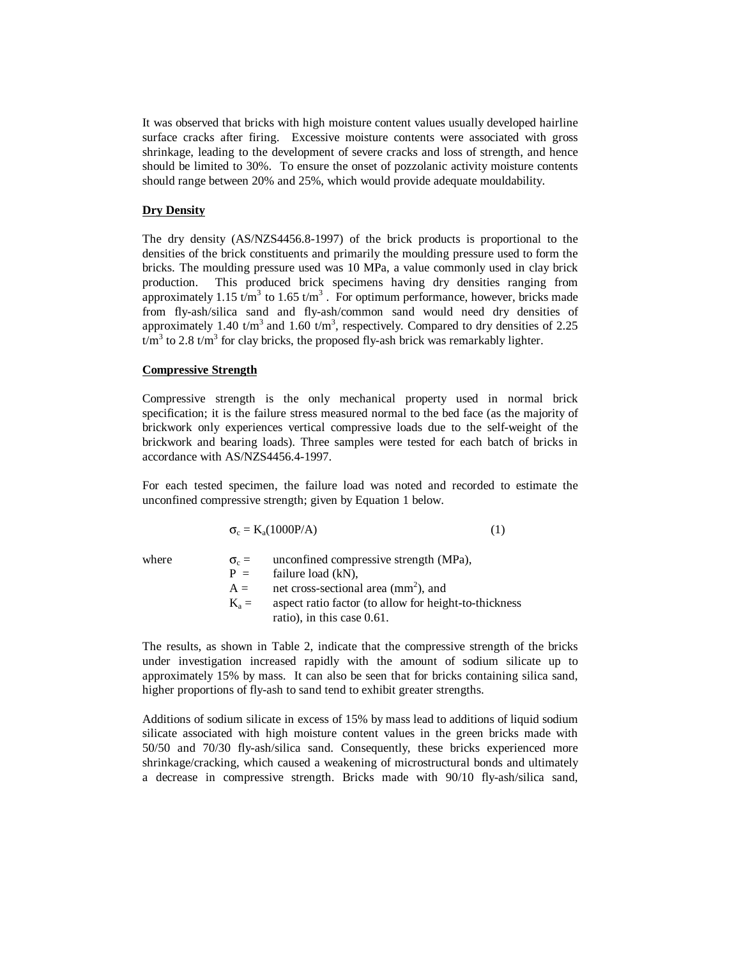It was observed that bricks with high moisture content values usually developed hairline surface cracks after firing. Excessive moisture contents were associated with gross shrinkage, leading to the development of severe cracks and loss of strength, and hence should be limited to 30%. To ensure the onset of pozzolanic activity moisture contents should range between 20% and 25%, which would provide adequate mouldability.

#### **Dry Density**

The dry density (AS/NZS4456.8-1997) of the brick products is proportional to the densities of the brick constituents and primarily the moulding pressure used to form the bricks. The moulding pressure used was 10 MPa, a value commonly used in clay brick production. This produced brick specimens having dry densities ranging from approximately 1.15 t/m<sup>3</sup> to 1.65 t/m<sup>3</sup>. For optimum performance, however, bricks made from fly-ash/silica sand and fly-ash/common sand would need dry densities of approximately 1.40 t/m<sup>3</sup> and 1.60 t/m<sup>3</sup>, respectively. Compared to dry densities of 2.25  $t/m<sup>3</sup>$  to 2.8 t/m<sup>3</sup> for clay bricks, the proposed fly-ash brick was remarkably lighter.

#### **Compressive Strength**

Compressive strength is the only mechanical property used in normal brick specification; it is the failure stress measured normal to the bed face (as the majority of brickwork only experiences vertical compressive loads due to the self-weight of the brickwork and bearing loads). Three samples were tested for each batch of bricks in accordance with AS/NZS4456.4-1997.

For each tested specimen, the failure load was noted and recorded to estimate the unconfined compressive strength; given by Equation 1 below.

$$
\sigma_c = K_a(1000P/A)
$$
 (1)

where  $\sigma_c =$  unconfined compressive strength (MPa),<br>  $P =$  failure load (kN), failure load  $(kN)$ ,  $A =$  net cross-sectional area (mm<sup>2</sup>), and  $K_a =$  aspect ratio factor (to allow for height-to-thickness ratio), in this case 0.61.

The results, as shown in Table 2, indicate that the compressive strength of the bricks under investigation increased rapidly with the amount of sodium silicate up to approximately 15% by mass. It can also be seen that for bricks containing silica sand, higher proportions of fly-ash to sand tend to exhibit greater strengths.

Additions of sodium silicate in excess of 15% by mass lead to additions of liquid sodium silicate associated with high moisture content values in the green bricks made with 50/50 and 70/30 fly-ash/silica sand. Consequently, these bricks experienced more shrinkage/cracking, which caused a weakening of microstructural bonds and ultimately a decrease in compressive strength. Bricks made with 90/10 fly-ash/silica sand,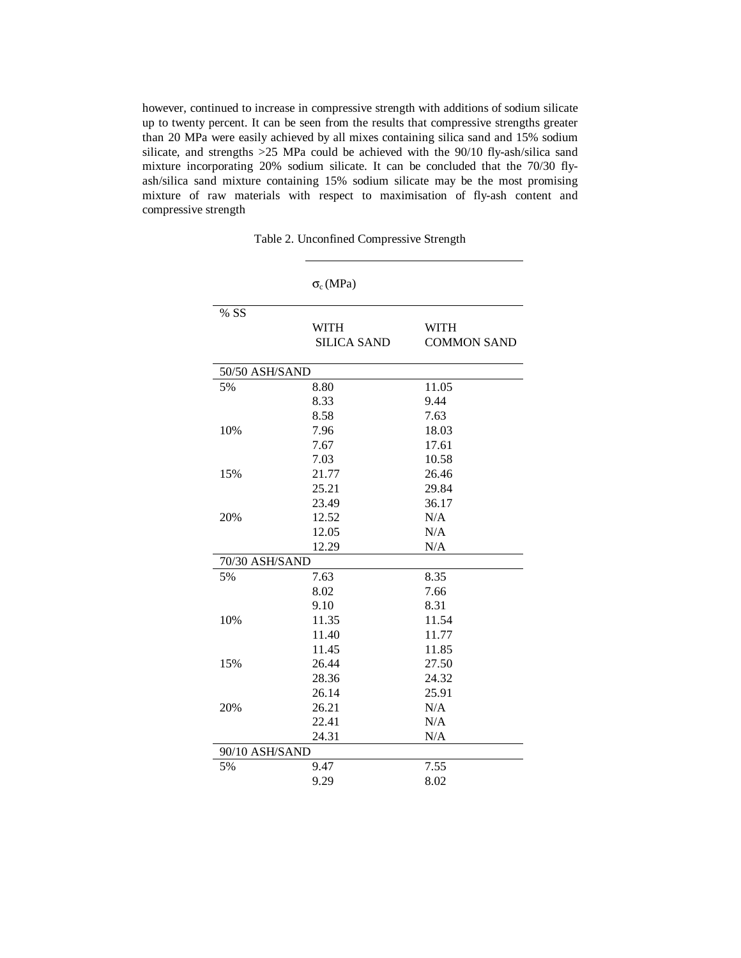however, continued to increase in compressive strength with additions of sodium silicate up to twenty percent. It can be seen from the results that compressive strengths greater than 20 MPa were easily achieved by all mixes containing silica sand and 15% sodium silicate, and strengths >25 MPa could be achieved with the 90/10 fly-ash/silica sand mixture incorporating 20% sodium silicate. It can be concluded that the 70/30 flyash/silica sand mixture containing 15% sodium silicate may be the most promising mixture of raw materials with respect to maximisation of fly-ash content and compressive strength

Table 2. Unconfined Compressive Strength

|                | $\sigma_c(MPa)$                   |                                   |
|----------------|-----------------------------------|-----------------------------------|
| % SS           |                                   |                                   |
|                | <b>WITH</b><br><b>SILICA SAND</b> | <b>WITH</b><br><b>COMMON SAND</b> |
|                |                                   |                                   |
| 50/50 ASH/SAND |                                   |                                   |
| 5%             | 8.80                              | 11.05                             |
|                | 8.33                              | 9.44                              |
|                | 8.58                              | 7.63                              |
| 10%            | 7.96                              | 18.03                             |
|                | 7.67                              | 17.61                             |
|                | 7.03                              | 10.58                             |
| 15%            | 21.77                             | 26.46                             |
|                | 25.21                             | 29.84                             |
|                | 23.49                             | 36.17                             |
| 20%            | 12.52                             | N/A                               |
|                | 12.05                             | N/A                               |
|                | 12.29                             | N/A                               |
| 70/30 ASH/SAND |                                   |                                   |
| 5%             | 7.63                              | 8.35                              |
|                | 8.02                              | 7.66                              |
|                | 9.10                              | 8.31                              |
| 10%            | 11.35                             | 11.54                             |
|                | 11.40                             | 11.77                             |
|                | 11.45                             | 11.85                             |
| 15%            | 26.44                             | 27.50                             |
|                | 28.36                             | 24.32                             |
|                | 26.14                             | 25.91                             |
| 20%            | 26.21                             | N/A                               |
|                | 22.41                             | N/A                               |
|                | 24.31                             | N/A                               |
| 90/10 ASH/SAND |                                   |                                   |
| 5%             | 9.47                              | 7.55                              |
|                | 9.29                              | 8.02                              |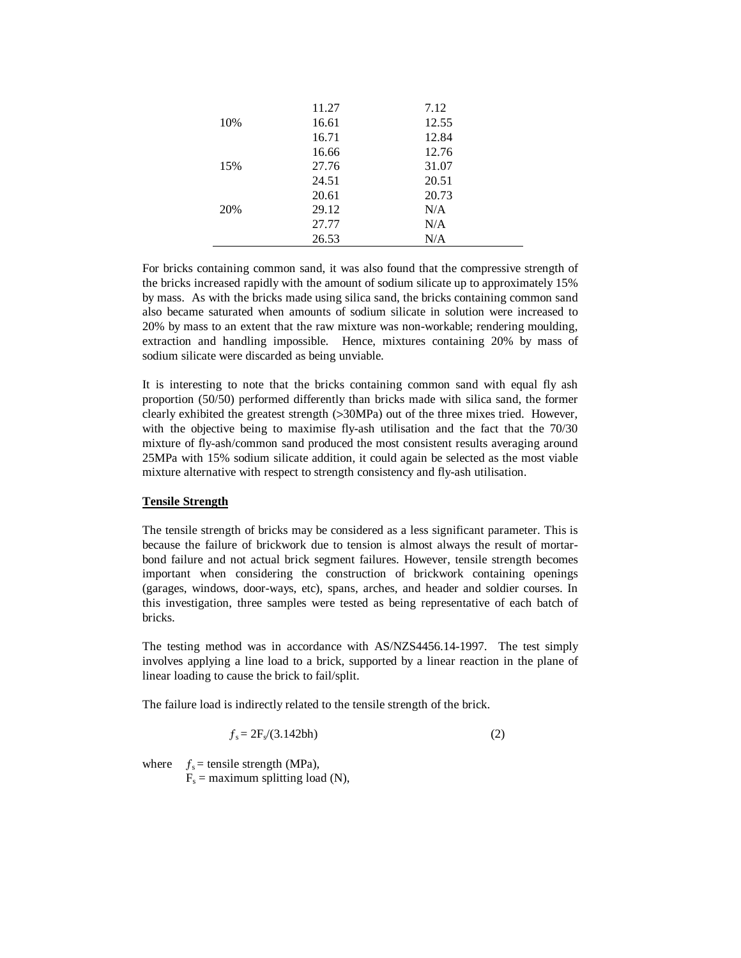|     | 11.27 | 7.12  |  |
|-----|-------|-------|--|
| 10% | 16.61 | 12.55 |  |
|     | 16.71 | 12.84 |  |
|     | 16.66 | 12.76 |  |
| 15% | 27.76 | 31.07 |  |
|     | 24.51 | 20.51 |  |
|     | 20.61 | 20.73 |  |
| 20% | 29.12 | N/A   |  |
|     | 27.77 | N/A   |  |
|     | 26.53 | N/A   |  |

For bricks containing common sand, it was also found that the compressive strength of the bricks increased rapidly with the amount of sodium silicate up to approximately 15% by mass. As with the bricks made using silica sand, the bricks containing common sand also became saturated when amounts of sodium silicate in solution were increased to 20% by mass to an extent that the raw mixture was non-workable; rendering moulding, extraction and handling impossible. Hence, mixtures containing 20% by mass of sodium silicate were discarded as being unviable.

It is interesting to note that the bricks containing common sand with equal fly ash proportion (50/50) performed differently than bricks made with silica sand, the former clearly exhibited the greatest strength (>30MPa) out of the three mixes tried. However, with the objective being to maximise fly-ash utilisation and the fact that the 70/30 mixture of fly-ash/common sand produced the most consistent results averaging around 25MPa with 15% sodium silicate addition, it could again be selected as the most viable mixture alternative with respect to strength consistency and fly-ash utilisation.

## **Tensile Strength**

The tensile strength of bricks may be considered as a less significant parameter. This is because the failure of brickwork due to tension is almost always the result of mortarbond failure and not actual brick segment failures. However, tensile strength becomes important when considering the construction of brickwork containing openings (garages, windows, door-ways, etc), spans, arches, and header and soldier courses. In this investigation, three samples were tested as being representative of each batch of bricks.

The testing method was in accordance with AS/NZS4456.14-1997. The test simply involves applying a line load to a brick, supported by a linear reaction in the plane of linear loading to cause the brick to fail/split.

The failure load is indirectly related to the tensile strength of the brick.

$$
f_s = 2F_s/(3.142bh) \tag{2}
$$

where  $f_s$  = tensile strength (MPa),  $F_s$  = maximum splitting load (N),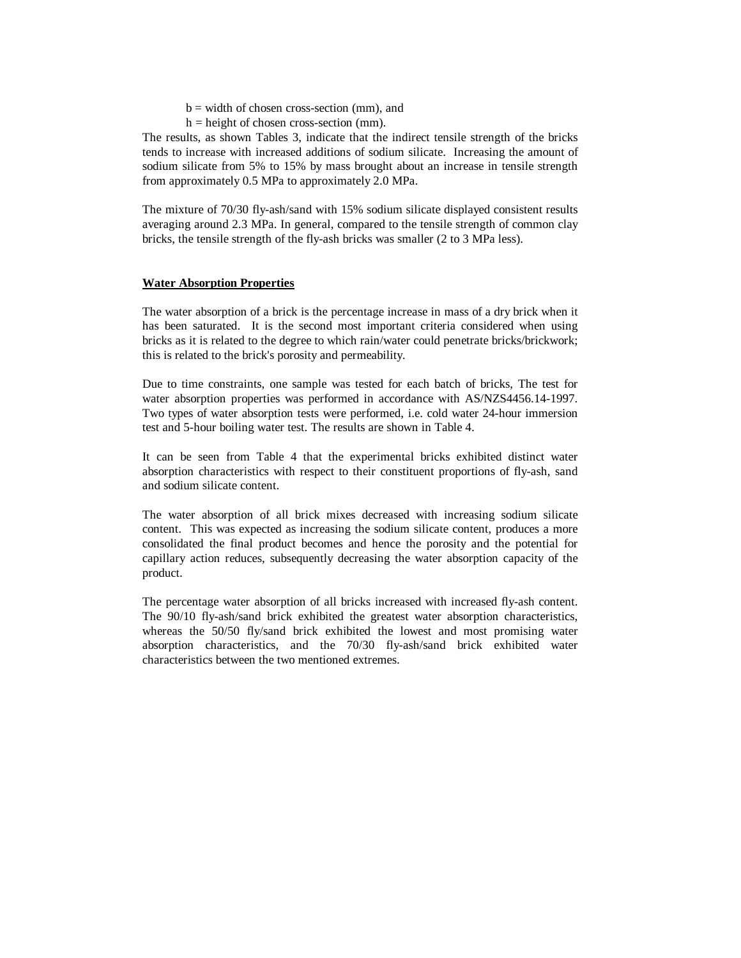$b =$  width of chosen cross-section (mm), and

 $h = height of chosen cross-section (mm).$ 

The results, as shown Tables 3, indicate that the indirect tensile strength of the bricks tends to increase with increased additions of sodium silicate. Increasing the amount of sodium silicate from 5% to 15% by mass brought about an increase in tensile strength from approximately 0.5 MPa to approximately 2.0 MPa.

The mixture of 70/30 fly-ash/sand with 15% sodium silicate displayed consistent results averaging around 2.3 MPa. In general, compared to the tensile strength of common clay bricks, the tensile strength of the fly-ash bricks was smaller (2 to 3 MPa less).

#### **Water Absorption Properties**

The water absorption of a brick is the percentage increase in mass of a dry brick when it has been saturated. It is the second most important criteria considered when using bricks as it is related to the degree to which rain/water could penetrate bricks/brickwork; this is related to the brick's porosity and permeability.

Due to time constraints, one sample was tested for each batch of bricks, The test for water absorption properties was performed in accordance with AS/NZS4456.14-1997. Two types of water absorption tests were performed, i.e. cold water 24-hour immersion test and 5-hour boiling water test. The results are shown in Table 4.

It can be seen from Table 4 that the experimental bricks exhibited distinct water absorption characteristics with respect to their constituent proportions of fly-ash, sand and sodium silicate content.

The water absorption of all brick mixes decreased with increasing sodium silicate content. This was expected as increasing the sodium silicate content, produces a more consolidated the final product becomes and hence the porosity and the potential for capillary action reduces, subsequently decreasing the water absorption capacity of the product.

The percentage water absorption of all bricks increased with increased fly-ash content. The 90/10 fly-ash/sand brick exhibited the greatest water absorption characteristics, whereas the 50/50 fly/sand brick exhibited the lowest and most promising water absorption characteristics, and the 70/30 fly-ash/sand brick exhibited water characteristics between the two mentioned extremes.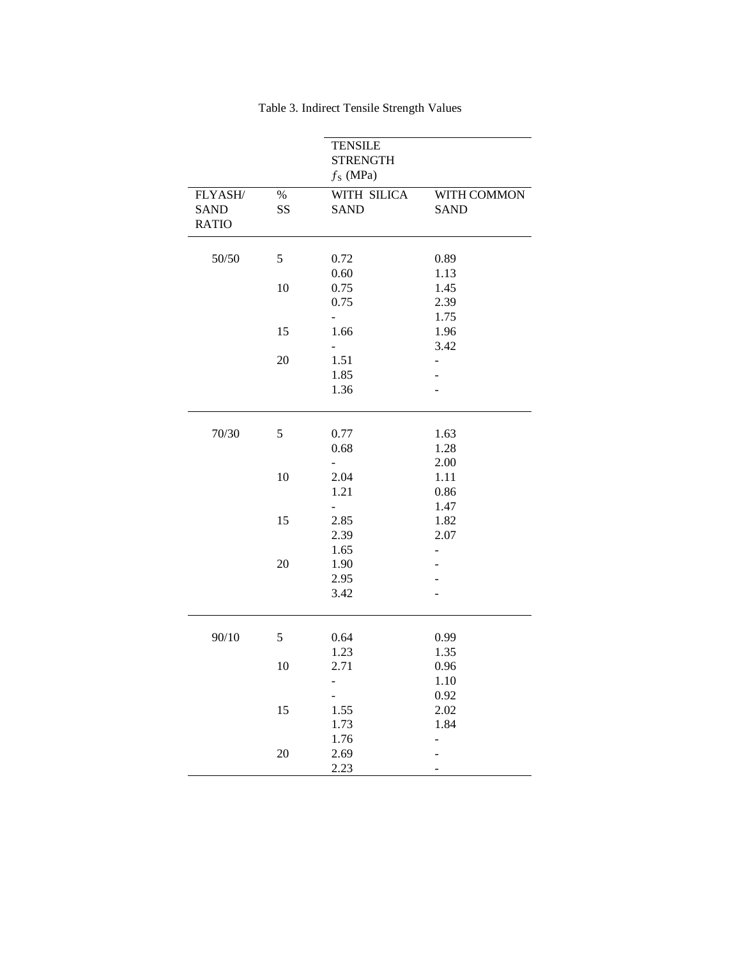|                                        |            | <b>TENSILE</b><br><b>STRENGTH</b><br>$f_S$ (MPa) |                              |
|----------------------------------------|------------|--------------------------------------------------|------------------------------|
| FLYASH/<br><b>SAND</b><br><b>RATIO</b> | $\%$<br>SS | WITH SILICA<br><b>SAND</b>                       | WITH COMMON<br><b>SAND</b>   |
| 50/50                                  | 5          | 0.72                                             | 0.89                         |
|                                        | 10         | 0.60<br>0.75<br>0.75                             | 1.13<br>1.45<br>2.39<br>1.75 |
|                                        | 15         | 1.66                                             | 1.96<br>3.42                 |
|                                        | 20         | 1.51<br>1.85<br>1.36                             |                              |
| 70/30                                  | 5          | 0.77<br>0.68                                     | 1.63<br>1.28<br>2.00         |
|                                        | 10         | 2.04<br>1.21                                     | 1.11<br>0.86<br>1.47         |
|                                        | 15         | 2.85<br>2.39<br>1.65                             | 1.82<br>2.07                 |
|                                        | 20         | 1.90<br>2.95<br>3.42                             |                              |
| 90/10                                  | 5          | 0.64<br>1.23                                     | 0.99<br>1.35                 |
|                                        | 10         | 2.71                                             | 0.96<br>1.10<br>0.92         |
|                                        | 15         | 1.55<br>1.73                                     | 2.02<br>1.84                 |
|                                        | $20\,$     | 1.76<br>2.69<br>2.23                             |                              |

Table 3. Indirect Tensile Strength Values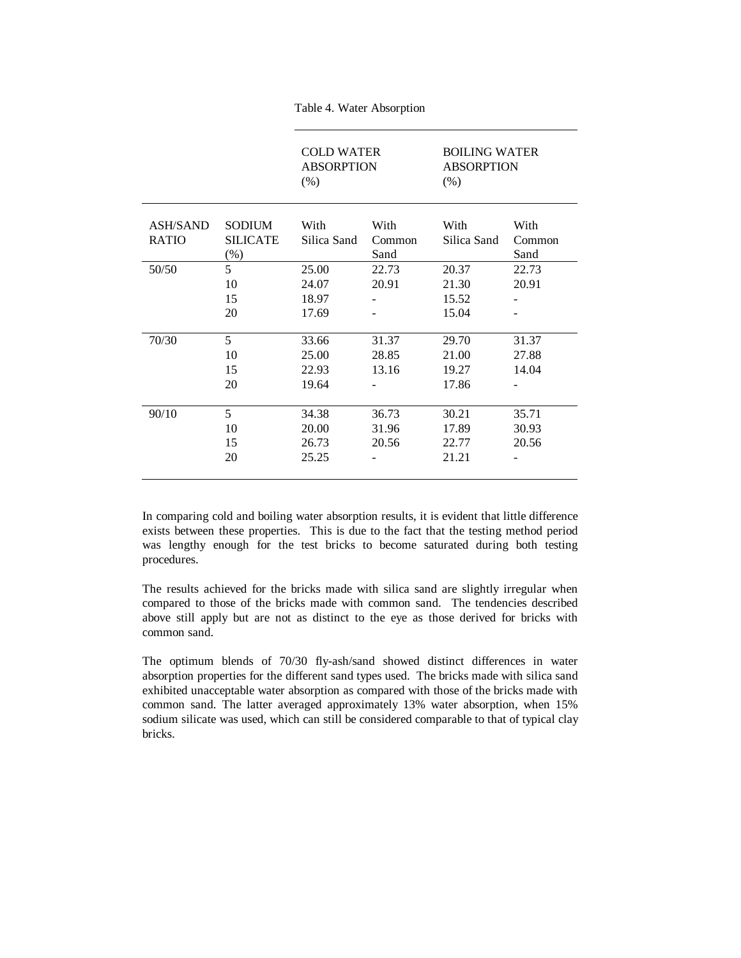|                                 |                                          | <b>COLD WATER</b><br><b>ABSORPTION</b><br>(% ) |                         | <b>BOILING WATER</b><br><b>ABSORPTION</b><br>(% ) |                         |
|---------------------------------|------------------------------------------|------------------------------------------------|-------------------------|---------------------------------------------------|-------------------------|
| <b>ASH/SAND</b><br><b>RATIO</b> | <b>SODIUM</b><br><b>SILICATE</b><br>(% ) | With<br>Silica Sand                            | With<br>Common<br>Sand  | With<br>Silica Sand                               | With<br>Common<br>Sand  |
| 50/50                           | 5<br>10<br>15<br>20                      | 25.00<br>24.07<br>18.97<br>17.69               | 22.73<br>20.91<br>۰     | 20.37<br>21.30<br>15.52<br>15.04                  | 22.73<br>20.91<br>۰     |
| 70/30                           | 5<br>10<br>15<br>20                      | 33.66<br>25.00<br>22.93<br>19.64               | 31.37<br>28.85<br>13.16 | 29.70<br>21.00<br>19.27<br>17.86                  | 31.37<br>27.88<br>14.04 |
| 90/10                           | 5<br>10<br>15<br>20                      | 34.38<br>20.00<br>26.73<br>25.25               | 36.73<br>31.96<br>20.56 | 30.21<br>17.89<br>22.77<br>21.21                  | 35.71<br>30.93<br>20.56 |

Table 4. Water Absorption

In comparing cold and boiling water absorption results, it is evident that little difference exists between these properties. This is due to the fact that the testing method period was lengthy enough for the test bricks to become saturated during both testing procedures.

The results achieved for the bricks made with silica sand are slightly irregular when compared to those of the bricks made with common sand. The tendencies described above still apply but are not as distinct to the eye as those derived for bricks with common sand.

The optimum blends of 70/30 fly-ash/sand showed distinct differences in water absorption properties for the different sand types used. The bricks made with silica sand exhibited unacceptable water absorption as compared with those of the bricks made with common sand. The latter averaged approximately 13% water absorption, when 15% sodium silicate was used, which can still be considered comparable to that of typical clay bricks.